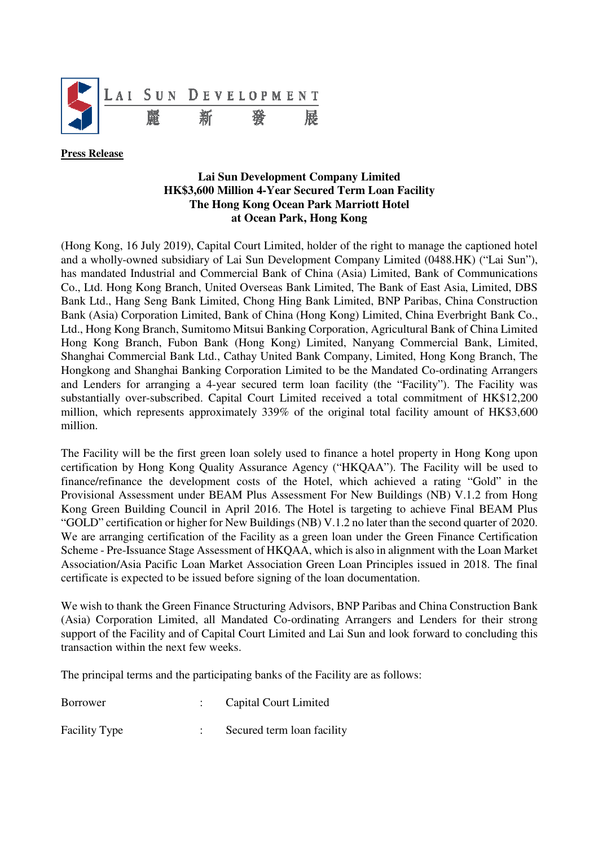

**Press Release** 

## **Lai Sun Development Company Limited HK\$3,600 Million 4-Year Secured Term Loan Facility The Hong Kong Ocean Park Marriott Hotel at Ocean Park, Hong Kong**

(Hong Kong, 16 July 2019), Capital Court Limited, holder of the right to manage the captioned hotel and a wholly-owned subsidiary of Lai Sun Development Company Limited (0488.HK) ("Lai Sun"), has mandated Industrial and Commercial Bank of China (Asia) Limited, Bank of Communications Co., Ltd. Hong Kong Branch, United Overseas Bank Limited, The Bank of East Asia, Limited, DBS Bank Ltd., Hang Seng Bank Limited, Chong Hing Bank Limited, BNP Paribas, China Construction Bank (Asia) Corporation Limited, Bank of China (Hong Kong) Limited, China Everbright Bank Co., Ltd., Hong Kong Branch, Sumitomo Mitsui Banking Corporation, Agricultural Bank of China Limited Hong Kong Branch, Fubon Bank (Hong Kong) Limited, Nanyang Commercial Bank, Limited, Shanghai Commercial Bank Ltd., Cathay United Bank Company, Limited, Hong Kong Branch, The Hongkong and Shanghai Banking Corporation Limited to be the Mandated Co-ordinating Arrangers and Lenders for arranging a 4-year secured term loan facility (the "Facility"). The Facility was substantially over-subscribed. Capital Court Limited received a total commitment of HK\$12,200 million, which represents approximately 339% of the original total facility amount of HK\$3,600 million.

The Facility will be the first green loan solely used to finance a hotel property in Hong Kong upon certification by Hong Kong Quality Assurance Agency ("HKQAA"). The Facility will be used to finance/refinance the development costs of the Hotel, which achieved a rating "Gold" in the Provisional Assessment under BEAM Plus Assessment For New Buildings (NB) V.1.2 from Hong Kong Green Building Council in April 2016. The Hotel is targeting to achieve Final BEAM Plus "GOLD" certification or higher for New Buildings (NB) V.1.2 no later than the second quarter of 2020. We are arranging certification of the Facility as a green loan under the Green Finance Certification Scheme - Pre-Issuance Stage Assessment of HKQAA, which is also in alignment with the Loan Market Association/Asia Pacific Loan Market Association Green Loan Principles issued in 2018. The final certificate is expected to be issued before signing of the loan documentation.

We wish to thank the Green Finance Structuring Advisors, BNP Paribas and China Construction Bank (Asia) Corporation Limited, all Mandated Co-ordinating Arrangers and Lenders for their strong support of the Facility and of Capital Court Limited and Lai Sun and look forward to concluding this transaction within the next few weeks.

The principal terms and the participating banks of the Facility are as follows:

| <b>Borrower</b>      | : Capital Court Limited    |
|----------------------|----------------------------|
| <b>Facility Type</b> | Secured term loan facility |